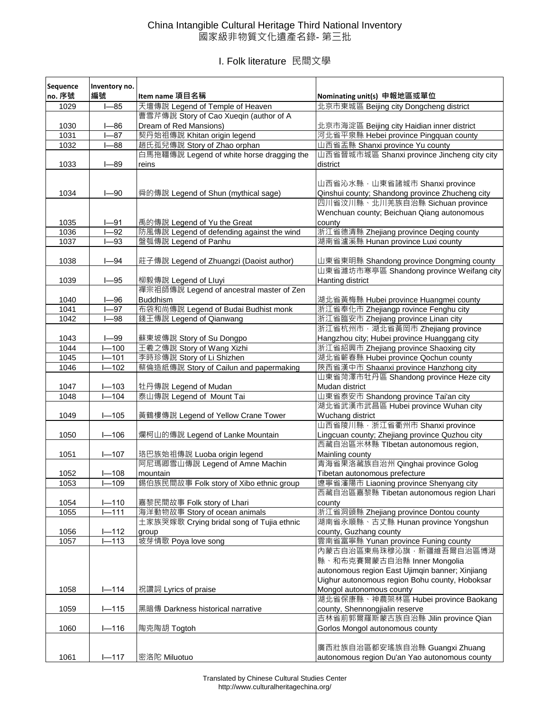## China Intangible Cultural Heritage Third National Inventory 國家級非物質文化遺產名錄- 第三批

I. Folk literature 民間文學

| Sequence     | Inventory no.   |                                                                          |                                                                                    |
|--------------|-----------------|--------------------------------------------------------------------------|------------------------------------------------------------------------------------|
| no. 序號       | 編號              | Item name 項目名稱                                                           | Nominating unit(s) 申報地區或單位                                                         |
| 1029         | $-85$           | 天壇傳說 Legend of Temple of Heaven                                          | 北京市東城區 Beijing city Dongcheng district                                             |
|              |                 | 曹雪芹傳說 Story of Cao Xueqin (author of A                                   |                                                                                    |
| 1030         | $1 - 86$        | Dream of Red Mansions)                                                   | 北京市海淀區 Beijing city Haidian inner district                                         |
| 1031         | $-87$           | 契丹始祖傳說 Khitan origin legend                                              | 河北省平泉縣 Hebei province Pingquan county                                              |
| 1032         | $-88$           | 趙氏孤兒傳說 Story of Zhao orphan                                              | 山西省盂縣 Shanxi province Yu county                                                    |
|              |                 | 白馬拖韁傳說 Legend of white horse dragging the                                | 山西省晉城市城區 Shanxi province Jincheng city city                                        |
| 1033         | $1 - 89$        | reins                                                                    | district                                                                           |
|              |                 |                                                                          |                                                                                    |
|              |                 |                                                                          | 山西省沁水縣, 山東省諸城市 Shanxi province                                                     |
| 1034         | $I - 90$        | 舜的傳說 Legend of Shun (mythical sage)                                      | Qinshui county; Shandong province Zhucheng city<br>四川省汶川縣、北川羌族自治縣 Sichuan province |
|              |                 |                                                                          | Wenchuan county; Beichuan Qiang autonomous                                         |
| 1035         |                 |                                                                          | county                                                                             |
|              | $I - 91$<br>-92 | 禹的傳說 Legend of Yu the Great<br>防風傳說 Legend of defending against the wind | 浙江省德清縣 Zhejiang province Deqing county                                             |
| 1036<br>1037 | -93             | 盤瓠傳說 Legend of Panhu                                                     | 湖南省瀘溪縣 Hunan province Luxi county                                                  |
|              |                 |                                                                          |                                                                                    |
| 1038         | $I - 94$        | 莊子傳說 Legend of Zhuangzi (Daoist author)                                  | 山東省東明縣 Shandong province Dongming county                                           |
|              |                 |                                                                          | 山東省濰坊市寒亭區 Shandong province Weifang city                                           |
| 1039         | $1 - 95$        | 柳毅傳說 Legend of Lluyi                                                     | Hanting district                                                                   |
|              |                 | 禪宗祖師傳說 Legend of ancestral master of Zen                                 |                                                                                    |
| 1040         | $I - 96$        | <b>Buddhism</b>                                                          | 湖北省黃梅縣 Hubei province Huangmei county                                              |
| 1041         | $-97$           | 布袋和尚傳說 Legend of Budai Budhist monk                                      | 浙江省奉化市 Zhejiangp rovince Fenghu city                                               |
| 1042         | $I - 98$        | 錢王傳說 Legend of Qianwang                                                  | 浙江省臨安市 Zhejiang province Linan city                                                |
|              |                 |                                                                          | 浙江省杭州市,湖北省黃岡市 Zhejiang province                                                    |
| 1043         | $I - 99$        | 蘇東坡傳說 Story of Su Dongpo                                                 | Hangzhou city; Hubei province Huanggang city                                       |
| 1044         | $-100$          | 王羲之傳說 Story of Wang Xizhi                                                | 浙江省紹興市 Zhejiang province Shaoxing city                                             |
| 1045         | $-101$          | 李時珍傳說 Story of Li Shizhen                                                | 湖北省蘄春縣 Hubei province Qochun county                                                |
| 1046         | $1 - 102$       | 蔡倫造紙傳說 Story of Cailun and papermaking                                   | 陝西省漢中市 Shaanxi province Hanzhong city                                              |
|              |                 |                                                                          | 山東省菏澤市牡丹區 Shandong province Heze city                                              |
| 1047         | $1 - 103$       | 牡丹傳說 Legend of Mudan                                                     | Mudan district                                                                     |
| 1048         | $-104$          | 泰山傳說 Legend of Mount Tai                                                 | 山東省泰安市 Shandong province Tai'an city                                               |
|              |                 |                                                                          | 湖北省武漢市武昌區 Hubei province Wuhan city                                                |
| 1049         | $I - 105$       | 黃鶴樓傳說 Legend of Yellow Crane Tower                                       | Wuchang district                                                                   |
|              |                 |                                                                          | 山西省陵川縣, 浙江省衢州市 Shanxi province                                                     |
| 1050         | $I - 106$       | 爛柯山的傳說 Legend of Lanke Mountain                                          | Lingcuan county; Zhejiang province Quzhou city                                     |
|              |                 |                                                                          | 西藏自治區米林縣 Tlbetan autonomous region,                                                |
| 1051         | $1 - 107$       | 珞巴族始祖傳說 Luoba origin legend                                              | Mainling county                                                                    |
|              |                 | 阿尼瑪卿雪山傳說 Legend of Amne Machin                                           | 青海省果洛藏族自治州 Qinghai province Golog                                                  |
| 1052         | $I - 108$       | mountain                                                                 | Tibetan autonomous prefecture                                                      |
| 1053         | $I - 109$       | 錫伯族民間故事 Folk story of Xibo ethnic group                                  | 遼寧省瀋陽市 Liaoning province Shenyang city                                             |
|              |                 |                                                                          | 西藏自治區嘉黎縣 Tibetan autonomous region Lhari                                           |
| 1054         | $I - 110$       | 嘉黎民間故事 Folk story of Lhari                                               | county                                                                             |
| 1055         | $1 - 111$       | 海洋動物故事 Story of ocean animals                                            | 浙江省洞頭縣 Zhejiang province Dontou county                                             |
|              |                 | 土家族哭嫁歌 Crying bridal song of Tujia ethnic                                | 湖南省永順縣、古丈縣 Hunan province Yongshun                                                 |
| 1056         | $I - 112$       | group                                                                    | county, Guzhang county                                                             |
| 1057         | $I - 113$       | 坡芽情歌 Poya love song                                                      | 雲南省富寧縣 Yunan province Funing county                                                |
|              |                 |                                                                          | 内蒙古自治區東烏珠穆沁旗, 新疆維吾爾自治區博湖                                                           |
|              |                 |                                                                          | 縣、和布克賽爾蒙古自治縣 Inner Mongolia                                                        |
|              |                 |                                                                          | autonomous region East Ujimqin banner; Xinjiang                                    |
|              |                 |                                                                          | Uighur autonomous region Bohu county, Hoboksar                                     |
| 1058         | $1 - 114$       | 祝讚詞 Lyrics of praise                                                     | Mongol autonomous county                                                           |
|              |                 |                                                                          | 湖北省保康縣、神農架林區 Hubei province Baokang                                                |
| 1059         | $1 - 115$       | 黑暗傳 Darkness historical narrative                                        | county, Shennongjialin reserve                                                     |
|              |                 |                                                                          | 吉林省前郭爾羅斯蒙古族自治縣 Jilin province Qian                                                 |
| 1060         | $1 - 116$       | 陶克陶胡 Togtoh                                                              | Gorlos Mongol autonomous county                                                    |
|              |                 |                                                                          |                                                                                    |
|              |                 |                                                                          | 廣西壯族自治區都安瑤族自治縣 Guangxi Zhuang                                                      |
| 1061         | $1 - 117$       | 密洛陀 Miluotuo                                                             | autonomous region Du'an Yao autonomous county                                      |